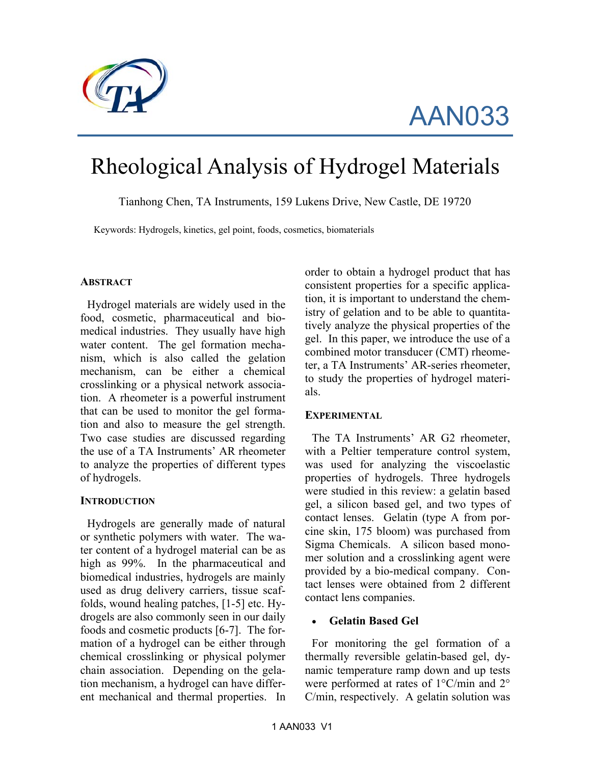

AAN033

# Rheological Analysis of Hydrogel Materials

Tianhong Chen, TA Instruments, 159 Lukens Drive, New Castle, DE 19720

Keywords: Hydrogels, kinetics, gel point, foods, cosmetics, biomaterials

#### **ABSTRACT**

Hydrogel materials are widely used in the food, cosmetic, pharmaceutical and biomedical industries. They usually have high water content. The gel formation mechanism, which is also called the gelation mechanism, can be either a chemical crosslinking or a physical network association. A rheometer is a powerful instrument that can be used to monitor the gel formation and also to measure the gel strength. Two case studies are discussed regarding the use of a TA Instruments' AR rheometer to analyze the properties of different types of hydrogels.

#### **INTRODUCTION**

Hydrogels are generally made of natural or synthetic polymers with water. The water content of a hydrogel material can be as high as 99%. In the pharmaceutical and biomedical industries, hydrogels are mainly used as drug delivery carriers, tissue scaffolds, wound healing patches, [1-5] etc. Hydrogels are also commonly seen in our daily foods and cosmetic products [6-7]. The formation of a hydrogel can be either through chemical crosslinking or physical polymer chain association. Depending on the gelation mechanism, a hydrogel can have different mechanical and thermal properties. In order to obtain a hydrogel product that has consistent properties for a specific application, it is important to understand the chemistry of gelation and to be able to quantitatively analyze the physical properties of the gel. In this paper, we introduce the use of a combined motor transducer (CMT) rheometer, a TA Instruments' AR-series rheometer, to study the properties of hydrogel materials.

#### **EXPERIMENTAL**

The TA Instruments' AR G2 rheometer, with a Peltier temperature control system, was used for analyzing the viscoelastic properties of hydrogels. Three hydrogels were studied in this review: a gelatin based gel, a silicon based gel, and two types of contact lenses. Gelatin (type A from porcine skin, 175 bloom) was purchased from Sigma Chemicals. A silicon based monomer solution and a crosslinking agent were provided by a bio-medical company. Contact lenses were obtained from 2 different contact lens companies.

## • **Gelatin Based Gel**

For monitoring the gel formation of a thermally reversible gelatin-based gel, dynamic temperature ramp down and up tests were performed at rates of 1°C/min and 2° C/min, respectively. A gelatin solution was

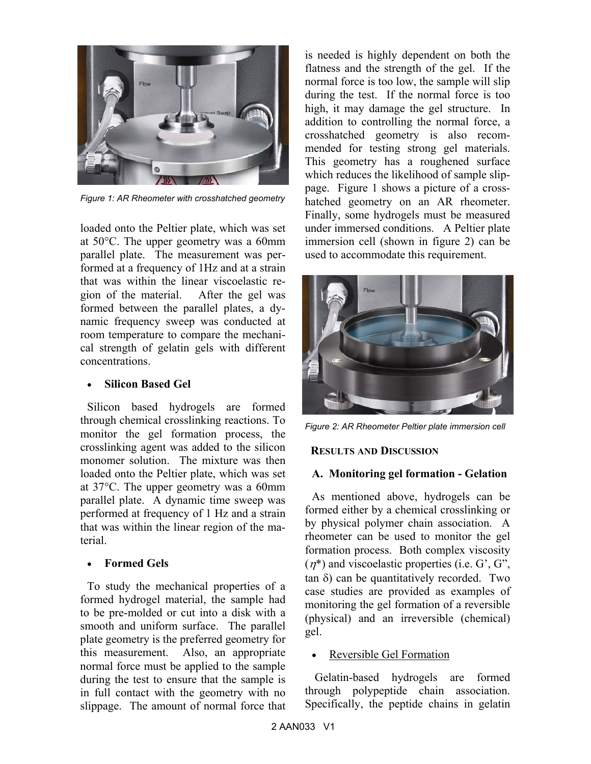

*Figure 1: AR Rheometer with crosshatched geometry* 

loaded onto the Peltier plate, which was set at 50°C. The upper geometry was a 60mm parallel plate. The measurement was performed at a frequency of 1Hz and at a strain that was within the linear viscoelastic region of the material. After the gel was formed between the parallel plates, a dynamic frequency sweep was conducted at room temperature to compare the mechanical strength of gelatin gels with different concentrations.

#### • **Silicon Based Gel**

Silicon based hydrogels are formed through chemical crosslinking reactions. To monitor the gel formation process, the crosslinking agent was added to the silicon monomer solution. The mixture was then loaded onto the Peltier plate, which was set at 37°C. The upper geometry was a 60mm parallel plate. A dynamic time sweep was performed at frequency of 1 Hz and a strain that was within the linear region of the material.

## • **Formed Gels**

To study the mechanical properties of a formed hydrogel material, the sample had to be pre-molded or cut into a disk with a smooth and uniform surface. The parallel plate geometry is the preferred geometry for this measurement. Also, an appropriate normal force must be applied to the sample during the test to ensure that the sample is in full contact with the geometry with no slippage. The amount of normal force that is needed is highly dependent on both the flatness and the strength of the gel. If the normal force is too low, the sample will slip during the test. If the normal force is too high, it may damage the gel structure. In addition to controlling the normal force, a crosshatched geometry is also recommended for testing strong gel materials. This geometry has a roughened surface which reduces the likelihood of sample slippage. Figure 1 shows a picture of a crosshatched geometry on an AR rheometer. Finally, some hydrogels must be measured under immersed conditions. A Peltier plate immersion cell (shown in figure 2) can be used to accommodate this requirement.



*Figure 2: AR Rheometer Peltier plate immersion cell* 

## **RESULTS AND DISCUSSION**

#### **A. Monitoring gel formation - Gelation**

As mentioned above, hydrogels can be formed either by a chemical crosslinking or by physical polymer chain association. A rheometer can be used to monitor the gel formation process. Both complex viscosity  $(\eta^*)$  and viscoelastic properties (i.e. G', G", tan δ) can be quantitatively recorded. Two case studies are provided as examples of monitoring the gel formation of a reversible (physical) and an irreversible (chemical) gel.

## • Reversible Gel Formation

 Gelatin-based hydrogels are formed through polypeptide chain association. Specifically, the peptide chains in gelatin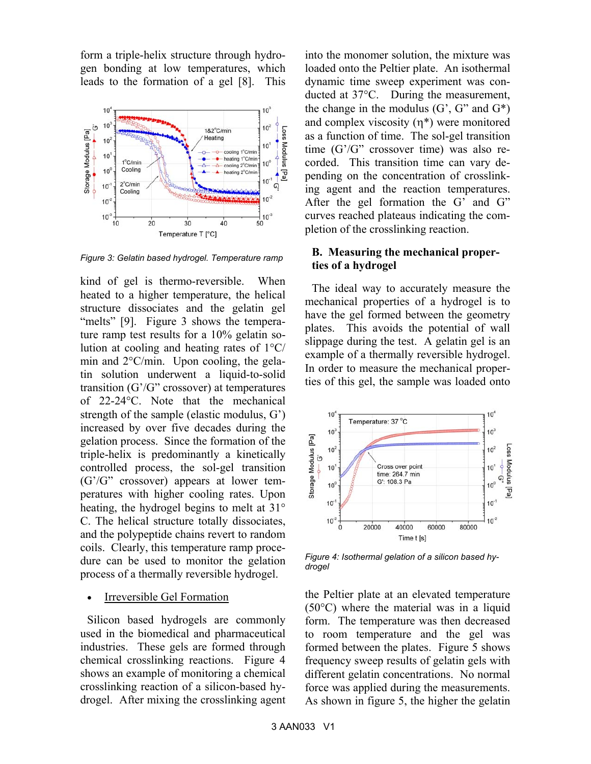form a triple-helix structure through hydrogen bonding at low temperatures, which leads to the formation of a gel [8]. This



*Figure 3: Gelatin based hydrogel. Temperature ramp* 

kind of gel is thermo-reversible. When heated to a higher temperature, the helical structure dissociates and the gelatin gel "melts" [9]. Figure 3 shows the temperature ramp test results for a 10% gelatin solution at cooling and heating rates of 1°C/ min and 2°C/min. Upon cooling, the gelatin solution underwent a liquid-to-solid transition (G'/G" crossover) at temperatures of 22-24°C. Note that the mechanical strength of the sample (elastic modulus, G') increased by over five decades during the gelation process. Since the formation of the triple-helix is predominantly a kinetically controlled process, the sol-gel transition (G'/G" crossover) appears at lower temperatures with higher cooling rates. Upon heating, the hydrogel begins to melt at 31° C. The helical structure totally dissociates, and the polypeptide chains revert to random coils. Clearly, this temperature ramp procedure can be used to monitor the gelation process of a thermally reversible hydrogel.

• Irreversible Gel Formation

Silicon based hydrogels are commonly used in the biomedical and pharmaceutical industries. These gels are formed through chemical crosslinking reactions. Figure 4 shows an example of monitoring a chemical crosslinking reaction of a silicon-based hydrogel. After mixing the crosslinking agent into the monomer solution, the mixture was loaded onto the Peltier plate. An isothermal dynamic time sweep experiment was conducted at 37°C. During the measurement, the change in the modulus  $(G', G'')$  and  $G^*$ ) and complex viscosity  $(\eta^*)$  were monitored as a function of time. The sol-gel transition time (G'/G" crossover time) was also recorded. This transition time can vary depending on the concentration of crosslinking agent and the reaction temperatures. After the gel formation the G' and G" curves reached plateaus indicating the completion of the crosslinking reaction.

### **B. Measuring the mechanical properties of a hydrogel**

The ideal way to accurately measure the mechanical properties of a hydrogel is to have the gel formed between the geometry plates. This avoids the potential of wall slippage during the test. A gelatin gel is an example of a thermally reversible hydrogel. In order to measure the mechanical properties of this gel, the sample was loaded onto



*Figure 4: Isothermal gelation of a silicon based hydrogel* 

the Peltier plate at an elevated temperature (50°C) where the material was in a liquid form. The temperature was then decreased to room temperature and the gel was formed between the plates. Figure 5 shows frequency sweep results of gelatin gels with different gelatin concentrations. No normal force was applied during the measurements. As shown in figure 5, the higher the gelatin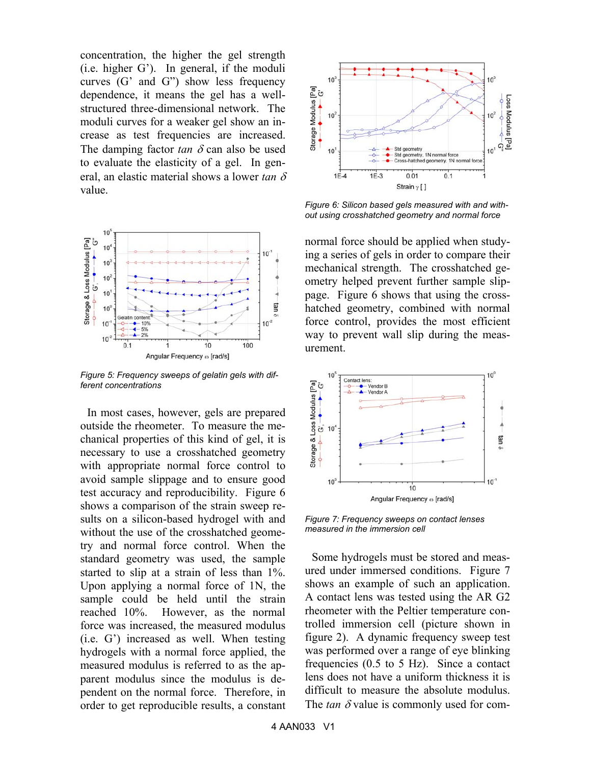concentration, the higher the gel strength (i.e. higher G'). In general, if the moduli curves (G' and G") show less frequency dependence, it means the gel has a wellstructured three-dimensional network. The moduli curves for a weaker gel show an increase as test frequencies are increased. The damping factor  $tan \delta$  can also be used to evaluate the elasticity of a gel. In general, an elastic material shows a lower *tan* δ value.



*Figure 5: Frequency sweeps of gelatin gels with different concentrations* 

In most cases, however, gels are prepared outside the rheometer. To measure the mechanical properties of this kind of gel, it is necessary to use a crosshatched geometry with appropriate normal force control to avoid sample slippage and to ensure good test accuracy and reproducibility. Figure 6 shows a comparison of the strain sweep results on a silicon-based hydrogel with and without the use of the crosshatched geometry and normal force control. When the standard geometry was used, the sample started to slip at a strain of less than 1%. Upon applying a normal force of 1N, the sample could be held until the strain reached 10%. However, as the normal force was increased, the measured modulus (i.e. G') increased as well. When testing hydrogels with a normal force applied, the measured modulus is referred to as the apparent modulus since the modulus is dependent on the normal force. Therefore, in order to get reproducible results, a constant



*Figure 6: Silicon based gels measured with and without using crosshatched geometry and normal force* 

normal force should be applied when studying a series of gels in order to compare their mechanical strength. The crosshatched geometry helped prevent further sample slippage. Figure 6 shows that using the crosshatched geometry, combined with normal force control, provides the most efficient way to prevent wall slip during the measurement.



*Figure 7: Frequency sweeps on contact lenses measured in the immersion cell* 

Some hydrogels must be stored and measured under immersed conditions. Figure 7 shows an example of such an application. A contact lens was tested using the AR G2 rheometer with the Peltier temperature controlled immersion cell (picture shown in figure 2). A dynamic frequency sweep test was performed over a range of eye blinking frequencies (0.5 to 5 Hz). Since a contact lens does not have a uniform thickness it is difficult to measure the absolute modulus. The  $tan \delta$  value is commonly used for com